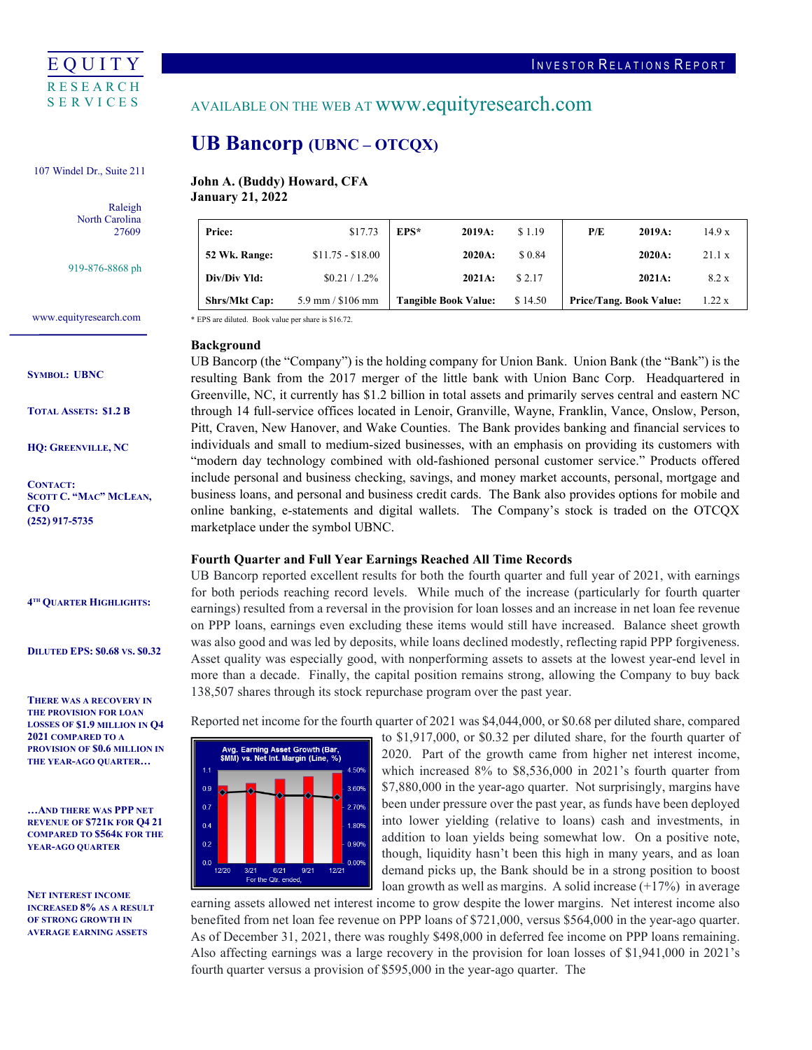

107 Windel Dr., Suite 211

 Raleigh North Carolina 27609

919-876-8868 ph

֦

www.equityresearch.com

### **SYMBOL: UBNC**

**TOTAL ASSETS: \$1.2 B**

**HQ: GREENVILLE, NC**

**CONTACT: SCOTT C. "MAC" MCLEAN, CFO (252) 917-5735**

### **4TH QUARTER HIGHLIGHTS:**

**DILUTED EPS: \$0.68 VS. \$0.32** 

**THERE WAS A RECOVERY IN THE PROVISION FOR LOAN LOSSES OF \$1.9 MILLION IN Q4 2021 COMPARED TO A PROVISION OF \$0.6 MILLION IN THE YEAR-AGO QUARTER…**

**…AND THERE WAS PPP NET REVENUE OF \$721K FOR Q4 21 COMPARED TO \$564K FOR THE YEAR-AGO QUARTER**

**NET INTEREST INCOME INCREASED 8% AS A RESULT OF STRONG GROWTH IN AVERAGE EARNING ASSETS** 

## AVAILABLE ON THE WEB AT www.equityresearch.com

# **UB Bancorp (UBNC – OTCQX)**

**John A. (Buddy) Howard, CFA January 21, 2022**

| <b>Price:</b>        | \$17.73              | $EPS*$<br>2019A:            | \$1.19  | P/E<br>2019A:                  | 14.9x  |
|----------------------|----------------------|-----------------------------|---------|--------------------------------|--------|
| 52 Wk. Range:        | $$11.75 - $18.00$    | 2020A:                      | \$ 0.84 | 2020A:                         | 21.1 x |
| Div/Div Yld:         | $$0.21 / 1.2\%$      | 2021A:                      | \$2.17  | 2021A:                         | 8.2 x  |
| <b>Shrs/Mkt Cap:</b> | $5.9$ mm / $$106$ mm | <b>Tangible Book Value:</b> | \$14.50 | <b>Price/Tang. Book Value:</b> | 1.22x  |

\* EPS are diluted. Book value per share is \$16.72.

## **Background**

UB Bancorp (the "Company") is the holding company for Union Bank. Union Bank (the "Bank") is the resulting Bank from the 2017 merger of the little bank with Union Banc Corp. Headquartered in Greenville, NC, it currently has \$1.2 billion in total assets and primarily serves central and eastern NC through 14 full-service offices located in Lenoir, Granville, Wayne, Franklin, Vance, Onslow, Person, Pitt, Craven, New Hanover, and Wake Counties. The Bank provides banking and financial services to individuals and small to medium-sized businesses, with an emphasis on providing its customers with "modern day technology combined with old-fashioned personal customer service." Products offered include personal and business checking, savings, and money market accounts, personal, mortgage and business loans, and personal and business credit cards. The Bank also provides options for mobile and online banking, e-statements and digital wallets. The Company's stock is traded on the OTCQX marketplace under the symbol UBNC.

## **Fourth Quarter and Full Year Earnings Reached All Time Records**

UB Bancorp reported excellent results for both the fourth quarter and full year of 2021, with earnings for both periods reaching record levels. While much of the increase (particularly for fourth quarter earnings) resulted from a reversal in the provision for loan losses and an increase in net loan fee revenue on PPP loans, earnings even excluding these items would still have increased. Balance sheet growth was also good and was led by deposits, while loans declined modestly, reflecting rapid PPP forgiveness. Asset quality was especially good, with nonperforming assets to assets at the lowest year-end level in more than a decade. Finally, the capital position remains strong, allowing the Company to buy back 138,507 shares through its stock repurchase program over the past year.

Reported net income for the fourth quarter of 2021 was \$4,044,000, or \$0.68 per diluted share, compared



to \$1,917,000, or \$0.32 per diluted share, for the fourth quarter of 2020. Part of the growth came from higher net interest income, which increased 8% to \$8,536,000 in 2021's fourth quarter from \$7,880,000 in the year-ago quarter. Not surprisingly, margins have been under pressure over the past year, as funds have been deployed into lower yielding (relative to loans) cash and investments, in addition to loan yields being somewhat low. On a positive note, though, liquidity hasn't been this high in many years, and as loan demand picks up, the Bank should be in a strong position to boost loan growth as well as margins. A solid increase (+17%) in average

earning assets allowed net interest income to grow despite the lower margins. Net interest income also benefited from net loan fee revenue on PPP loans of \$721,000, versus \$564,000 in the year-ago quarter. As of December 31, 2021, there was roughly \$498,000 in deferred fee income on PPP loans remaining. Also affecting earnings was a large recovery in the provision for loan losses of \$1,941,000 in 2021's fourth quarter versus a provision of \$595,000 in the year-ago quarter. The